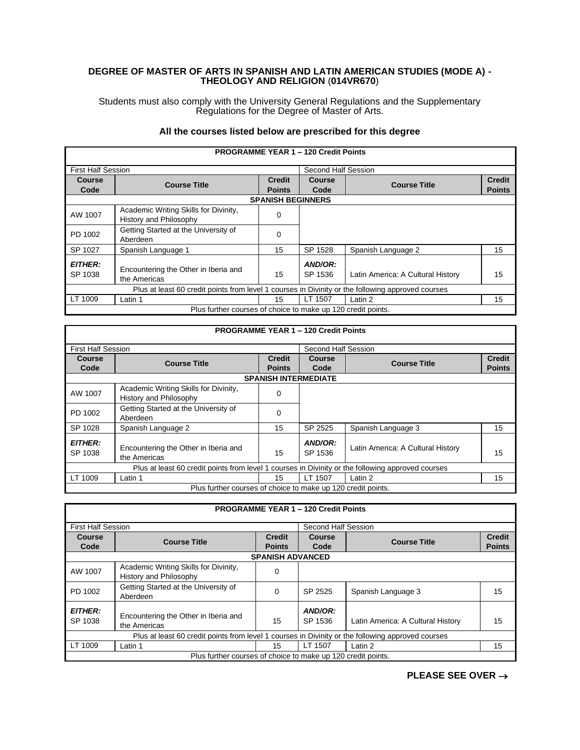## **DEGREE OF MASTER OF ARTS IN SPANISH AND LATIN AMERICAN STUDIES (MODE A) - THEOLOGY AND RELIGION** (**014VR670**)

Students must also comply with the University General Regulations and the Supplementary Regulations for the Degree of Master of Arts.

## **All the courses listed below are prescribed for this degree**

|                           | <b>PROGRAMME YEAR 1 - 120 Credit Points</b>                                                       |                          |                     |                                   |               |  |  |
|---------------------------|---------------------------------------------------------------------------------------------------|--------------------------|---------------------|-----------------------------------|---------------|--|--|
| <b>First Half Session</b> |                                                                                                   |                          | Second Half Session |                                   |               |  |  |
| <b>Course</b>             | <b>Course Title</b>                                                                               | <b>Credit</b>            | Course              | <b>Course Title</b>               | <b>Credit</b> |  |  |
| Code                      |                                                                                                   | <b>Points</b>            | Code                |                                   | <b>Points</b> |  |  |
|                           |                                                                                                   | <b>SPANISH BEGINNERS</b> |                     |                                   |               |  |  |
| AW 1007                   | Academic Writing Skills for Divinity,<br>History and Philosophy                                   | 0                        |                     |                                   |               |  |  |
| PD 1002                   | Getting Started at the University of<br>Aberdeen                                                  | 0                        |                     |                                   |               |  |  |
| SP 1027                   | Spanish Language 1                                                                                | 15                       | SP 1528             | Spanish Language 2                | 15            |  |  |
| <b>EITHER:</b><br>SP 1038 | Encountering the Other in Iberia and<br>the Americas                                              | 15                       | AND/OR:<br>SP 1536  | Latin America: A Cultural History | 15            |  |  |
|                           | Plus at least 60 credit points from level 1 courses in Divinity or the following approved courses |                          |                     |                                   |               |  |  |
| LT 1009                   | Latin 1                                                                                           | 15                       | LT 1507             | Latin 2                           | 15            |  |  |
|                           | Plus further courses of choice to make up 120 credit points.                                      |                          |                     |                                   |               |  |  |

|                           | <b>PROGRAMME YEAR 1 - 120 Credit Points</b>                                                       |               |                             |                                   |                                |  |  |
|---------------------------|---------------------------------------------------------------------------------------------------|---------------|-----------------------------|-----------------------------------|--------------------------------|--|--|
| <b>First Half Session</b> |                                                                                                   |               | Second Half Session         |                                   |                                |  |  |
| <b>Course</b>             | <b>Course Title</b>                                                                               | <b>Credit</b> | Course                      | <b>Course Title</b>               | <b>Credit</b><br><b>Points</b> |  |  |
| Code                      |                                                                                                   | <b>Points</b> | Code                        |                                   |                                |  |  |
|                           |                                                                                                   |               | <b>SPANISH INTERMEDIATE</b> |                                   |                                |  |  |
| AW 1007                   | Academic Writing Skills for Divinity,<br>History and Philosophy                                   | 0             |                             |                                   |                                |  |  |
| PD 1002                   | Getting Started at the University of<br>Aberdeen                                                  | 0             |                             |                                   |                                |  |  |
| SP 1028                   | Spanish Language 2                                                                                | 15            | SP 2525                     | Spanish Language 3                | 15                             |  |  |
| <b>EITHER:</b><br>SP 1038 | Encountering the Other in Iberia and<br>the Americas                                              | 15            | AND/OR:<br>SP 1536          | Latin America: A Cultural History | 15                             |  |  |
|                           | Plus at least 60 credit points from level 1 courses in Divinity or the following approved courses |               |                             |                                   |                                |  |  |
| LT 1009                   | Latin 1                                                                                           | 15            | LT 1507                     | Latin 2                           | 15                             |  |  |
|                           | Plus further courses of choice to make up 120 credit points.                                      |               |                             |                                   |                                |  |  |

|                           |                                                                                                   |                                | <b>PROGRAMME YEAR 1 - 120 Credit Points</b> |                                   |                                |
|---------------------------|---------------------------------------------------------------------------------------------------|--------------------------------|---------------------------------------------|-----------------------------------|--------------------------------|
| <b>First Half Session</b> |                                                                                                   |                                | Second Half Session                         |                                   |                                |
| <b>Course</b><br>Code     | <b>Course Title</b>                                                                               | <b>Credit</b><br><b>Points</b> | <b>Course</b><br>Code                       | <b>Course Title</b>               | <b>Credit</b><br><b>Points</b> |
|                           |                                                                                                   | <b>SPANISH ADVANCED</b>        |                                             |                                   |                                |
| AW 1007                   | Academic Writing Skills for Divinity,<br>History and Philosophy                                   | 0                              |                                             |                                   |                                |
| PD 1002                   | Getting Started at the University of<br>Aberdeen                                                  | $\Omega$                       | SP 2525                                     | Spanish Language 3                | 15                             |
| <b>EITHER:</b><br>SP 1038 | Encountering the Other in Iberia and<br>the Americas                                              | 15                             | AND/OR:<br>SP 1536                          | Latin America: A Cultural History | 15                             |
|                           | Plus at least 60 credit points from level 1 courses in Divinity or the following approved courses |                                |                                             |                                   |                                |
| LT 1009                   | Latin 1                                                                                           | 15                             | LT 1507                                     | Latin 2                           | 15                             |
|                           | Plus further courses of choice to make up 120 credit points.                                      |                                |                                             |                                   |                                |

**PLEASE SEE OVER** →